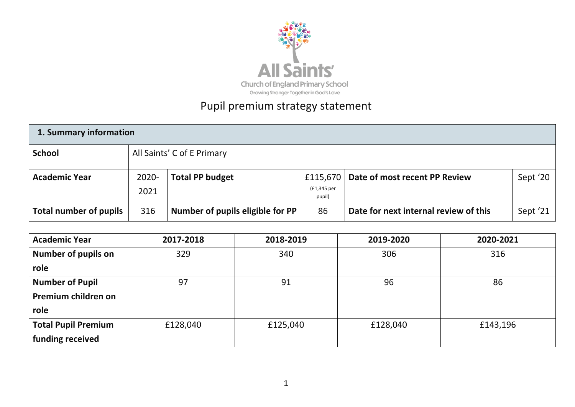

# Pupil premium strategy statement

| 1. Summary information |               |                                  |                       |                                          |          |  |  |
|------------------------|---------------|----------------------------------|-----------------------|------------------------------------------|----------|--|--|
| <b>School</b>          |               | All Saints' C of E Primary       |                       |                                          |          |  |  |
| <b>Academic Year</b>   | 2020-<br>2021 | <b>Total PP budget</b>           | (£1,345 per<br>pupil) | £115,670   Date of most recent PP Review | Sept '20 |  |  |
| Total number of pupils | 316           | Number of pupils eligible for PP | 86                    | Date for next internal review of this    | Sept '21 |  |  |

**strategy**

| <b>Academic Year</b>       | 2017-2018 | 2018-2019 | 2019-2020 | 2020-2021 |
|----------------------------|-----------|-----------|-----------|-----------|
| <b>Number of pupils on</b> | 329       | 340       | 306       | 316       |
| role                       |           |           |           |           |
| <b>Number of Pupil</b>     | 97        | 91        | 96        | 86        |
| Premium children on        |           |           |           |           |
| role                       |           |           |           |           |
| <b>Total Pupil Premium</b> | £128,040  | £125,040  | £128,040  | £143,196  |
| funding received           |           |           |           |           |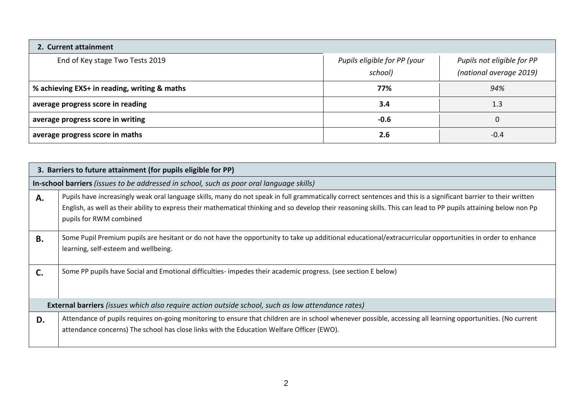| 2. Current attainment                        |                                         |                                                       |
|----------------------------------------------|-----------------------------------------|-------------------------------------------------------|
| End of Key stage Two Tests 2019              | Pupils eligible for PP (your<br>school) | Pupils not eligible for PP<br>(national average 2019) |
| % achieving EXS+ in reading, writing & maths | 77%                                     | 94%                                                   |
| average progress score in reading            | 3.4                                     | 1.3                                                   |
| average progress score in writing            | $-0.6$                                  |                                                       |
| average progress score in maths              | 2.6                                     | $-0.4$                                                |

|           | 3. Barriers to future attainment (for pupils eligible for PP)                                                                                                                                                                                                                                                                                                    |  |  |  |  |  |
|-----------|------------------------------------------------------------------------------------------------------------------------------------------------------------------------------------------------------------------------------------------------------------------------------------------------------------------------------------------------------------------|--|--|--|--|--|
|           | In-school barriers (issues to be addressed in school, such as poor oral language skills)                                                                                                                                                                                                                                                                         |  |  |  |  |  |
| А.        | Pupils have increasingly weak oral language skills, many do not speak in full grammatically correct sentences and this is a significant barrier to their written<br>English, as well as their ability to express their mathematical thinking and so develop their reasoning skills. This can lead to PP pupils attaining below non Pp<br>pupils for RWM combined |  |  |  |  |  |
| <b>B.</b> | Some Pupil Premium pupils are hesitant or do not have the opportunity to take up additional educational/extracurricular opportunities in order to enhance<br>learning, self-esteem and wellbeing.                                                                                                                                                                |  |  |  |  |  |
| C.        | Some PP pupils have Social and Emotional difficulties- impedes their academic progress. (see section E below)                                                                                                                                                                                                                                                    |  |  |  |  |  |
|           | <b>External barriers</b> (issues which also require action outside school, such as low attendance rates)                                                                                                                                                                                                                                                         |  |  |  |  |  |
| D.        | Attendance of pupils requires on-going monitoring to ensure that children are in school whenever possible, accessing all learning opportunities. (No current<br>attendance concerns) The school has close links with the Education Welfare Officer (EWO).                                                                                                        |  |  |  |  |  |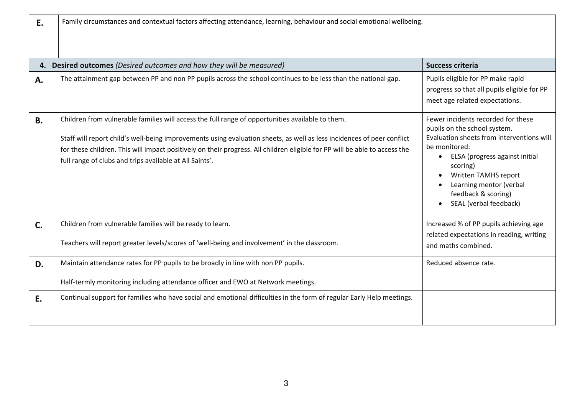| E.        | Family circumstances and contextual factors affecting attendance, learning, behaviour and social emotional wellbeing.                                                                                                                                                                                                                                                                                               |                                                                                                                                                                                                                                                                                                 |  |  |  |  |  |
|-----------|---------------------------------------------------------------------------------------------------------------------------------------------------------------------------------------------------------------------------------------------------------------------------------------------------------------------------------------------------------------------------------------------------------------------|-------------------------------------------------------------------------------------------------------------------------------------------------------------------------------------------------------------------------------------------------------------------------------------------------|--|--|--|--|--|
|           | 4. Desired outcomes (Desired outcomes and how they will be measured)                                                                                                                                                                                                                                                                                                                                                | <b>Success criteria</b>                                                                                                                                                                                                                                                                         |  |  |  |  |  |
| A.        | The attainment gap between PP and non PP pupils across the school continues to be less than the national gap.                                                                                                                                                                                                                                                                                                       | Pupils eligible for PP make rapid<br>progress so that all pupils eligible for PP<br>meet age related expectations.                                                                                                                                                                              |  |  |  |  |  |
| <b>B.</b> | Children from vulnerable families will access the full range of opportunities available to them.<br>Staff will report child's well-being improvements using evaluation sheets, as well as less incidences of peer conflict<br>for these children. This will impact positively on their progress. All children eligible for PP will be able to access the<br>full range of clubs and trips available at All Saints'. | Fewer incidents recorded for these<br>pupils on the school system.<br>Evaluation sheets from interventions will<br>be monitored:<br>ELSA (progress against initial<br>$\bullet$<br>scoring)<br>Written TAMHS report<br>Learning mentor (verbal<br>feedback & scoring)<br>SEAL (verbal feedback) |  |  |  |  |  |
| C.        | Children from vulnerable families will be ready to learn.<br>Teachers will report greater levels/scores of 'well-being and involvement' in the classroom.                                                                                                                                                                                                                                                           | Increased % of PP pupils achieving age<br>related expectations in reading, writing<br>and maths combined.                                                                                                                                                                                       |  |  |  |  |  |
| D.        | Maintain attendance rates for PP pupils to be broadly in line with non PP pupils.<br>Half-termly monitoring including attendance officer and EWO at Network meetings.                                                                                                                                                                                                                                               | Reduced absence rate.                                                                                                                                                                                                                                                                           |  |  |  |  |  |
| E.        | Continual support for families who have social and emotional difficulties in the form of regular Early Help meetings.                                                                                                                                                                                                                                                                                               |                                                                                                                                                                                                                                                                                                 |  |  |  |  |  |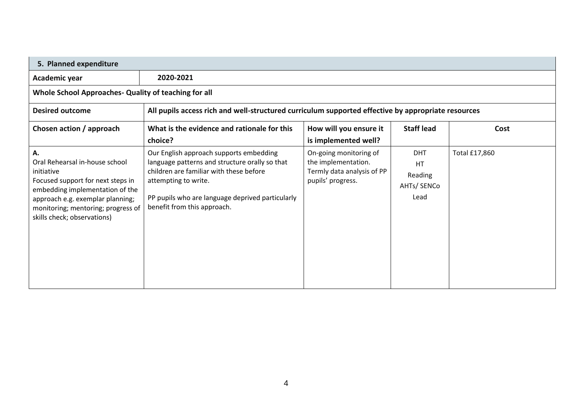| Academic year                                                                                                                                                                                                                       | 2020-2021                                                                                                                                                                                                                                       |                                                                                                  |                                                           |               |
|-------------------------------------------------------------------------------------------------------------------------------------------------------------------------------------------------------------------------------------|-------------------------------------------------------------------------------------------------------------------------------------------------------------------------------------------------------------------------------------------------|--------------------------------------------------------------------------------------------------|-----------------------------------------------------------|---------------|
| Whole School Approaches- Quality of teaching for all                                                                                                                                                                                |                                                                                                                                                                                                                                                 |                                                                                                  |                                                           |               |
| <b>Desired outcome</b>                                                                                                                                                                                                              | All pupils access rich and well-structured curriculum supported effective by appropriate resources                                                                                                                                              |                                                                                                  |                                                           |               |
| Chosen action / approach                                                                                                                                                                                                            | What is the evidence and rationale for this<br>choice?                                                                                                                                                                                          | How will you ensure it<br>is implemented well?                                                   | <b>Staff lead</b>                                         | Cost          |
| А.<br>Oral Rehearsal in-house school<br>initiative<br>Focused support for next steps in<br>embedding implementation of the<br>approach e.g. exemplar planning;<br>monitoring; mentoring; progress of<br>skills check; observations) | Our English approach supports embedding<br>language patterns and structure orally so that<br>children are familiar with these before<br>attempting to write.<br>PP pupils who are language deprived particularly<br>benefit from this approach. | On-going monitoring of<br>the implementation.<br>Termly data analysis of PP<br>pupils' progress. | <b>DHT</b><br><b>HT</b><br>Reading<br>AHTs/ SENCo<br>Lead | Total £17,860 |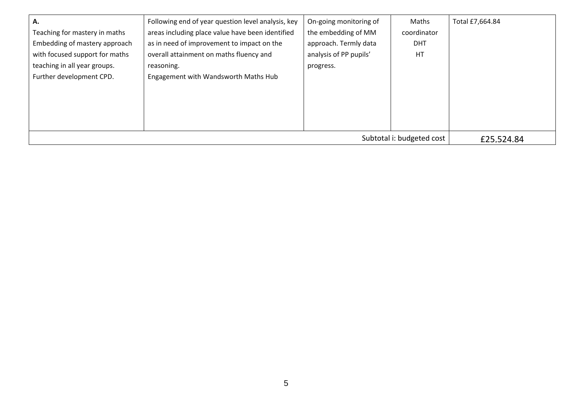| А.                             | Following end of year question level analysis, key | On-going monitoring of | Maths       | Total £7,664.84 |
|--------------------------------|----------------------------------------------------|------------------------|-------------|-----------------|
| Teaching for mastery in maths  | areas including place value have been identified   | the embedding of MM    | coordinator |                 |
| Embedding of mastery approach  | as in need of improvement to impact on the         | approach. Termly data  | <b>DHT</b>  |                 |
| with focused support for maths | overall attainment on maths fluency and            | analysis of PP pupils' | HT          |                 |
| teaching in all year groups.   | reasoning.                                         | progress.              |             |                 |
| Further development CPD.       | Engagement with Wandsworth Maths Hub               |                        |             |                 |
|                                |                                                    |                        |             |                 |
|                                |                                                    |                        |             |                 |
|                                |                                                    |                        |             |                 |
|                                |                                                    |                        |             |                 |
|                                | £25.524.84                                         |                        |             |                 |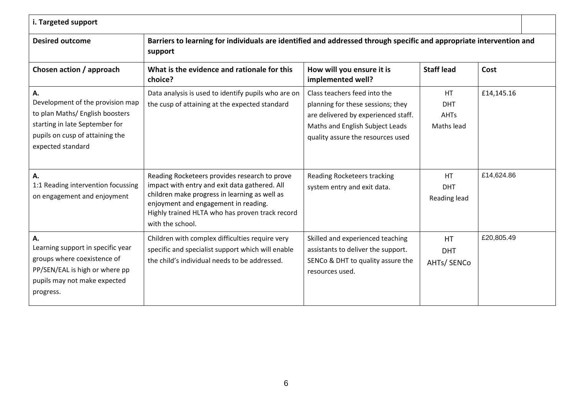| i. Targeted support                                                                                                                                                 |                                                                                                                                                                                                                                                                |                                                                                                                                                                                  |                                               |            |  |
|---------------------------------------------------------------------------------------------------------------------------------------------------------------------|----------------------------------------------------------------------------------------------------------------------------------------------------------------------------------------------------------------------------------------------------------------|----------------------------------------------------------------------------------------------------------------------------------------------------------------------------------|-----------------------------------------------|------------|--|
| Barriers to learning for individuals are identified and addressed through specific and appropriate intervention and<br><b>Desired outcome</b><br>support            |                                                                                                                                                                                                                                                                |                                                                                                                                                                                  |                                               |            |  |
| Chosen action / approach                                                                                                                                            | What is the evidence and rationale for this<br>choice?                                                                                                                                                                                                         | How will you ensure it is<br>implemented well?                                                                                                                                   | <b>Staff lead</b>                             | Cost       |  |
| А.<br>Development of the provision map<br>to plan Maths/ English boosters<br>starting in late September for<br>pupils on cusp of attaining the<br>expected standard | Data analysis is used to identify pupils who are on<br>the cusp of attaining at the expected standard                                                                                                                                                          | Class teachers feed into the<br>planning for these sessions; they<br>are delivered by experienced staff.<br>Maths and English Subject Leads<br>quality assure the resources used | <b>HT</b><br><b>DHT</b><br>AHTs<br>Maths lead | £14,145.16 |  |
| Α.<br>1:1 Reading intervention focussing<br>on engagement and enjoyment                                                                                             | Reading Rocketeers provides research to prove<br>impact with entry and exit data gathered. All<br>children make progress in learning as well as<br>enjoyment and engagement in reading.<br>Highly trained HLTA who has proven track record<br>with the school. | <b>Reading Rocketeers tracking</b><br>system entry and exit data.                                                                                                                | <b>HT</b><br><b>DHT</b><br>Reading lead       | £14,624.86 |  |
| Α.<br>Learning support in specific year<br>groups where coexistence of<br>PP/SEN/EAL is high or where pp<br>pupils may not make expected<br>progress.               | Children with complex difficulties require very<br>specific and specialist support which will enable<br>the child's individual needs to be addressed.                                                                                                          | Skilled and experienced teaching<br>assistants to deliver the support.<br>SENCo & DHT to quality assure the<br>resources used.                                                   | <b>HT</b><br><b>DHT</b><br>AHTs/ SENCo        | £20,805.49 |  |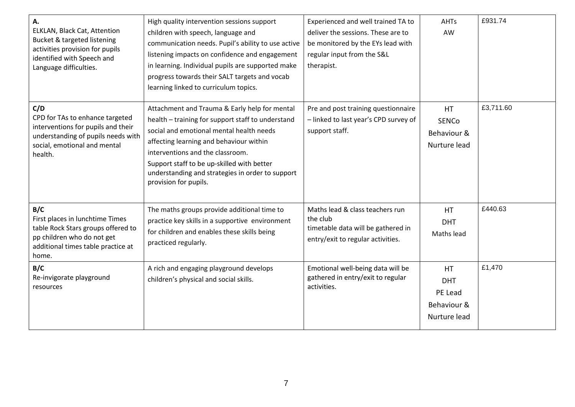| А.<br>ELKLAN, Black Cat, Attention<br>Bucket & targeted listening<br>activities provision for pupils<br>identified with Speech and<br>Language difficulties.  | High quality intervention sessions support<br>children with speech, language and<br>communication needs. Pupil's ability to use active<br>listening impacts on confidence and engagement<br>in learning. Individual pupils are supported make<br>progress towards their SALT targets and vocab<br>learning linked to curriculum topics.                  | Experienced and well trained TA to<br>deliver the sessions. These are to<br>be monitored by the EYs lead with<br>regular input from the S&L<br>therapist. | <b>AHTs</b><br>AW                                                 | £931.74   |
|---------------------------------------------------------------------------------------------------------------------------------------------------------------|----------------------------------------------------------------------------------------------------------------------------------------------------------------------------------------------------------------------------------------------------------------------------------------------------------------------------------------------------------|-----------------------------------------------------------------------------------------------------------------------------------------------------------|-------------------------------------------------------------------|-----------|
| C/D<br>CPD for TAs to enhance targeted<br>interventions for pupils and their<br>understanding of pupils needs with<br>social, emotional and mental<br>health. | Attachment and Trauma & Early help for mental<br>health - training for support staff to understand<br>social and emotional mental health needs<br>affecting learning and behaviour within<br>interventions and the classroom.<br>Support staff to be up-skilled with better<br>understanding and strategies in order to support<br>provision for pupils. | Pre and post training questionnaire<br>- linked to last year's CPD survey of<br>support staff.                                                            | <b>HT</b><br><b>SENCo</b><br>Behaviour &<br>Nurture lead          | £3,711.60 |
| B/C<br>First places in lunchtime Times<br>table Rock Stars groups offered to<br>pp children who do not get<br>additional times table practice at<br>home.     | The maths groups provide additional time to<br>practice key skills in a supportive environment<br>for children and enables these skills being<br>practiced regularly.                                                                                                                                                                                    | Maths lead & class teachers run<br>the club<br>timetable data will be gathered in<br>entry/exit to regular activities.                                    | HT.<br><b>DHT</b><br>Maths lead                                   | £440.63   |
| B/C<br>Re-invigorate playground<br>resources                                                                                                                  | A rich and engaging playground develops<br>children's physical and social skills.                                                                                                                                                                                                                                                                        | Emotional well-being data will be<br>gathered in entry/exit to regular<br>activities.                                                                     | <b>HT</b><br><b>DHT</b><br>PE Lead<br>Behaviour &<br>Nurture lead | £1,470    |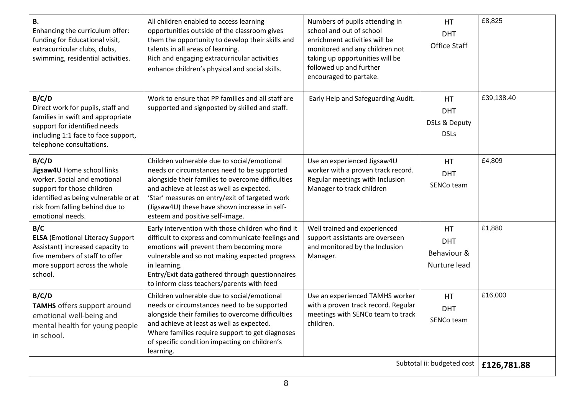| <b>B.</b><br>Enhancing the curriculum offer:<br>funding for Educational visit,<br>extracurricular clubs, clubs,<br>swimming, residential activities.                                             | All children enabled to access learning<br>opportunities outside of the classroom gives<br>them the opportunity to develop their skills and<br>talents in all areas of learning.<br>Rich and engaging extracurricular activities<br>enhance children's physical and social skills.                                                 | Numbers of pupils attending in<br>school and out of school<br>enrichment activities will be<br>monitored and any children not<br>taking up opportunities will be<br>followed up and further<br>encouraged to partake. | HT.<br><b>DHT</b><br>Office Staff                            | £8,825      |
|--------------------------------------------------------------------------------------------------------------------------------------------------------------------------------------------------|------------------------------------------------------------------------------------------------------------------------------------------------------------------------------------------------------------------------------------------------------------------------------------------------------------------------------------|-----------------------------------------------------------------------------------------------------------------------------------------------------------------------------------------------------------------------|--------------------------------------------------------------|-------------|
| B/C/D<br>Direct work for pupils, staff and<br>families in swift and appropriate<br>support for identified needs<br>including 1:1 face to face support,<br>telephone consultations.               | Work to ensure that PP families and all staff are<br>supported and signposted by skilled and staff.                                                                                                                                                                                                                                | Early Help and Safeguarding Audit.                                                                                                                                                                                    | HT.<br><b>DHT</b><br><b>DSLs &amp; Deputy</b><br><b>DSLs</b> | £39,138.40  |
| B/C/D<br>Jigsaw4U Home school links<br>worker. Social and emotional<br>support for those children<br>identified as being vulnerable or at<br>risk from falling behind due to<br>emotional needs. | Children vulnerable due to social/emotional<br>needs or circumstances need to be supported<br>alongside their families to overcome difficulties<br>and achieve at least as well as expected.<br>'Star' measures on entry/exit of targeted work<br>(Jigsaw4U) these have shown increase in self-<br>esteem and positive self-image. | Use an experienced Jigsaw4U<br>worker with a proven track record.<br>Regular meetings with Inclusion<br>Manager to track children                                                                                     | <b>HT</b><br><b>DHT</b><br>SENCo team                        | £4,809      |
| B/C<br><b>ELSA</b> (Emotional Literacy Support<br>Assistant) increased capacity to<br>five members of staff to offer<br>more support across the whole<br>school.                                 | Early intervention with those children who find it<br>difficult to express and communicate feelings and<br>emotions will prevent them becoming more<br>vulnerable and so not making expected progress<br>in learning.<br>Entry/Exit data gathered through questionnaires<br>to inform class teachers/parents with feed             | Well trained and experienced<br>support assistants are overseen<br>and monitored by the Inclusion<br>Manager.                                                                                                         | HT.<br><b>DHT</b><br>Behaviour &<br>Nurture lead             | £1,880      |
| B/C/D<br><b>TAMHS</b> offers support around<br>emotional well-being and<br>mental health for young people<br>in school.                                                                          | Children vulnerable due to social/emotional<br>needs or circumstances need to be supported<br>alongside their families to overcome difficulties<br>and achieve at least as well as expected.<br>Where families require support to get diagnoses<br>of specific condition impacting on children's<br>learning.                      | Use an experienced TAMHS worker<br>with a proven track record. Regular<br>meetings with SENCo team to track<br>children.                                                                                              | <b>HT</b><br><b>DHT</b><br>SENCo team                        | £16,000     |
|                                                                                                                                                                                                  |                                                                                                                                                                                                                                                                                                                                    |                                                                                                                                                                                                                       | Subtotal ii: budgeted cost                                   | £126,781.88 |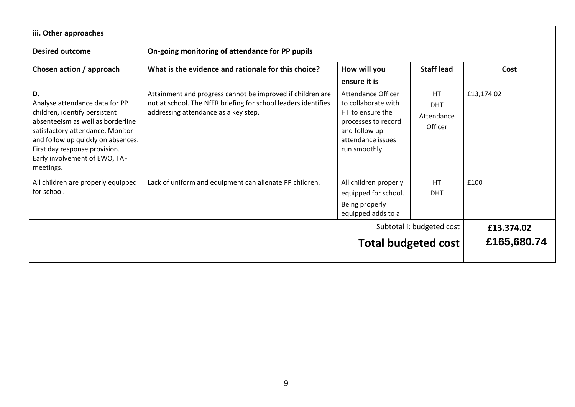| iii. Other approaches                                                                                                                                                                                                                                               |                                                                                                                                                                      |                                                                                                                                                    |                                                  |             |
|---------------------------------------------------------------------------------------------------------------------------------------------------------------------------------------------------------------------------------------------------------------------|----------------------------------------------------------------------------------------------------------------------------------------------------------------------|----------------------------------------------------------------------------------------------------------------------------------------------------|--------------------------------------------------|-------------|
| <b>Desired outcome</b>                                                                                                                                                                                                                                              | On-going monitoring of attendance for PP pupils                                                                                                                      |                                                                                                                                                    |                                                  |             |
| Chosen action / approach                                                                                                                                                                                                                                            | What is the evidence and rationale for this choice?                                                                                                                  | How will you<br>ensure it is                                                                                                                       | <b>Staff lead</b>                                | Cost        |
| D.<br>Analyse attendance data for PP<br>children, identify persistent<br>absenteeism as well as borderline<br>satisfactory attendance. Monitor<br>and follow up quickly on absences.<br>First day response provision.<br>Early involvement of EWO, TAF<br>meetings. | Attainment and progress cannot be improved if children are<br>not at school. The NfER briefing for school leaders identifies<br>addressing attendance as a key step. | <b>Attendance Officer</b><br>to collaborate with<br>HT to ensure the<br>processes to record<br>and follow up<br>attendance issues<br>run smoothly. | <b>HT</b><br><b>DHT</b><br>Attendance<br>Officer | £13,174.02  |
| All children are properly equipped<br>for school.                                                                                                                                                                                                                   | Lack of uniform and equipment can alienate PP children.                                                                                                              | All children properly<br>equipped for school.<br>Being properly<br>equipped adds to a                                                              | <b>HT</b><br><b>DHT</b>                          | £100        |
|                                                                                                                                                                                                                                                                     | £13,374.02                                                                                                                                                           |                                                                                                                                                    |                                                  |             |
| <b>Total budgeted cost</b>                                                                                                                                                                                                                                          |                                                                                                                                                                      |                                                                                                                                                    |                                                  | £165,680.74 |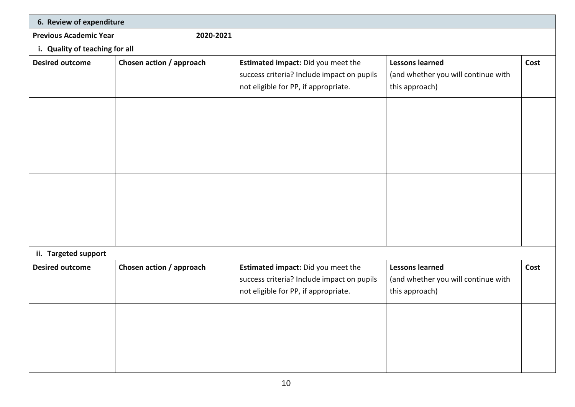|                                | 6. Review of expenditure |           |                                                                                                                          |                                                                                 |      |  |  |  |
|--------------------------------|--------------------------|-----------|--------------------------------------------------------------------------------------------------------------------------|---------------------------------------------------------------------------------|------|--|--|--|
| <b>Previous Academic Year</b>  |                          | 2020-2021 |                                                                                                                          |                                                                                 |      |  |  |  |
| i. Quality of teaching for all |                          |           |                                                                                                                          |                                                                                 |      |  |  |  |
| <b>Desired outcome</b>         | Chosen action / approach |           | Estimated impact: Did you meet the<br>success criteria? Include impact on pupils<br>not eligible for PP, if appropriate. | <b>Lessons learned</b><br>(and whether you will continue with<br>this approach) | Cost |  |  |  |
|                                |                          |           |                                                                                                                          |                                                                                 |      |  |  |  |
|                                |                          |           |                                                                                                                          |                                                                                 |      |  |  |  |
| ii. Targeted support           |                          |           |                                                                                                                          |                                                                                 |      |  |  |  |
| <b>Desired outcome</b>         | Chosen action / approach |           | Estimated impact: Did you meet the<br>success criteria? Include impact on pupils<br>not eligible for PP, if appropriate. | <b>Lessons learned</b><br>(and whether you will continue with<br>this approach) | Cost |  |  |  |
|                                |                          |           |                                                                                                                          |                                                                                 |      |  |  |  |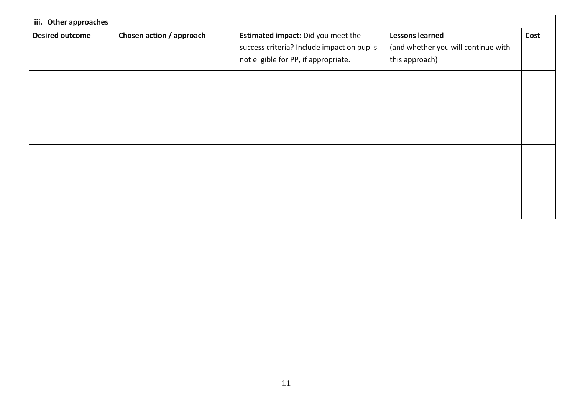| iii. Other approaches  |                          |                                                                                                                          |                                                                                 |      |
|------------------------|--------------------------|--------------------------------------------------------------------------------------------------------------------------|---------------------------------------------------------------------------------|------|
| <b>Desired outcome</b> | Chosen action / approach | Estimated impact: Did you meet the<br>success criteria? Include impact on pupils<br>not eligible for PP, if appropriate. | <b>Lessons learned</b><br>(and whether you will continue with<br>this approach) | Cost |
|                        |                          |                                                                                                                          |                                                                                 |      |
|                        |                          |                                                                                                                          |                                                                                 |      |
|                        |                          |                                                                                                                          |                                                                                 |      |